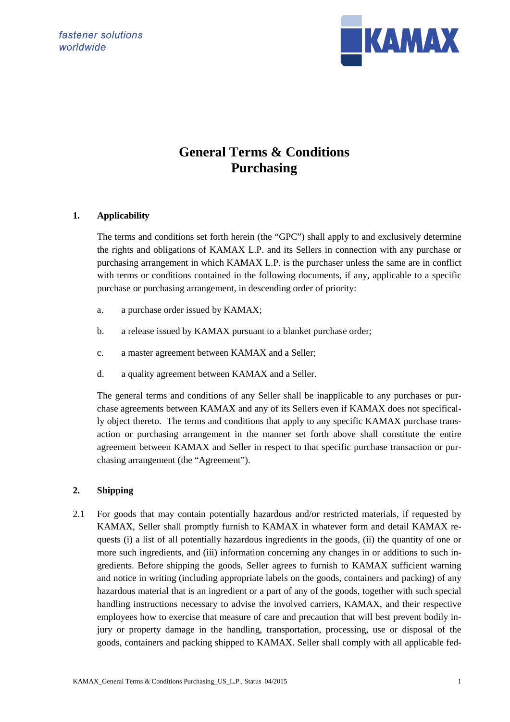

# **General Terms & Conditions Purchasing**

# **1. Applicability**

The terms and conditions set forth herein (the "GPC") shall apply to and exclusively determine the rights and obligations of KAMAX L.P. and its Sellers in connection with any purchase or purchasing arrangement in which KAMAX L.P. is the purchaser unless the same are in conflict with terms or conditions contained in the following documents, if any, applicable to a specific purchase or purchasing arrangement, in descending order of priority:

- a. a purchase order issued by KAMAX;
- b. a release issued by KAMAX pursuant to a blanket purchase order;
- c. a master agreement between KAMAX and a Seller;
- d. a quality agreement between KAMAX and a Seller.

The general terms and conditions of any Seller shall be inapplicable to any purchases or purchase agreements between KAMAX and any of its Sellers even if KAMAX does not specifically object thereto. The terms and conditions that apply to any specific KAMAX purchase transaction or purchasing arrangement in the manner set forth above shall constitute the entire agreement between KAMAX and Seller in respect to that specific purchase transaction or purchasing arrangement (the "Agreement").

# **2. Shipping**

2.1 For goods that may contain potentially hazardous and/or restricted materials, if requested by KAMAX, Seller shall promptly furnish to KAMAX in whatever form and detail KAMAX requests (i) a list of all potentially hazardous ingredients in the goods, (ii) the quantity of one or more such ingredients, and (iii) information concerning any changes in or additions to such ingredients. Before shipping the goods, Seller agrees to furnish to KAMAX sufficient warning and notice in writing (including appropriate labels on the goods, containers and packing) of any hazardous material that is an ingredient or a part of any of the goods, together with such special handling instructions necessary to advise the involved carriers, KAMAX, and their respective employees how to exercise that measure of care and precaution that will best prevent bodily injury or property damage in the handling, transportation, processing, use or disposal of the goods, containers and packing shipped to KAMAX. Seller shall comply with all applicable fed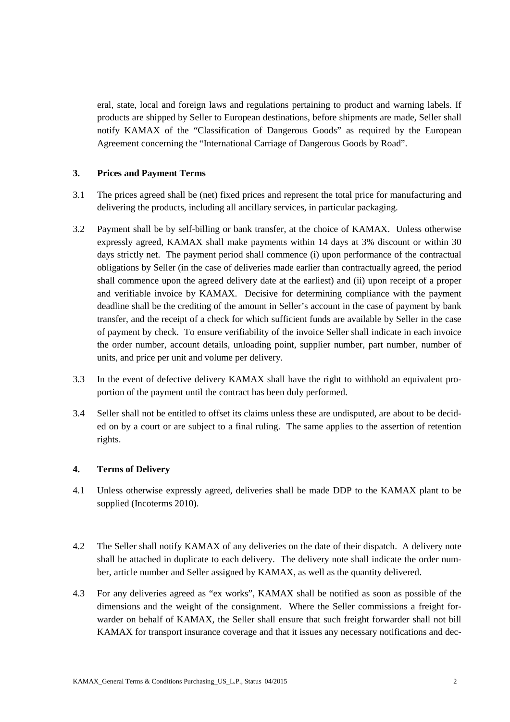eral, state, local and foreign laws and regulations pertaining to product and warning labels. If products are shipped by Seller to European destinations, before shipments are made, Seller shall notify KAMAX of the "Classification of Dangerous Goods" as required by the European Agreement concerning the "International Carriage of Dangerous Goods by Road".

#### **3. Prices and Payment Terms**

- 3.1 The prices agreed shall be (net) fixed prices and represent the total price for manufacturing and delivering the products, including all ancillary services, in particular packaging.
- 3.2 Payment shall be by self-billing or bank transfer, at the choice of KAMAX. Unless otherwise expressly agreed, KAMAX shall make payments within 14 days at 3% discount or within 30 days strictly net. The payment period shall commence (i) upon performance of the contractual obligations by Seller (in the case of deliveries made earlier than contractually agreed, the period shall commence upon the agreed delivery date at the earliest) and (ii) upon receipt of a proper and verifiable invoice by KAMAX. Decisive for determining compliance with the payment deadline shall be the crediting of the amount in Seller's account in the case of payment by bank transfer, and the receipt of a check for which sufficient funds are available by Seller in the case of payment by check. To ensure verifiability of the invoice Seller shall indicate in each invoice the order number, account details, unloading point, supplier number, part number, number of units, and price per unit and volume per delivery.
- 3.3 In the event of defective delivery KAMAX shall have the right to withhold an equivalent proportion of the payment until the contract has been duly performed.
- 3.4 Seller shall not be entitled to offset its claims unless these are undisputed, are about to be decided on by a court or are subject to a final ruling. The same applies to the assertion of retention rights.

#### **4. Terms of Delivery**

- 4.1 Unless otherwise expressly agreed, deliveries shall be made DDP to the KAMAX plant to be supplied (Incoterms 2010).
- 4.2 The Seller shall notify KAMAX of any deliveries on the date of their dispatch. A delivery note shall be attached in duplicate to each delivery. The delivery note shall indicate the order number, article number and Seller assigned by KAMAX, as well as the quantity delivered.
- 4.3 For any deliveries agreed as "ex works", KAMAX shall be notified as soon as possible of the dimensions and the weight of the consignment. Where the Seller commissions a freight forwarder on behalf of KAMAX, the Seller shall ensure that such freight forwarder shall not bill KAMAX for transport insurance coverage and that it issues any necessary notifications and dec-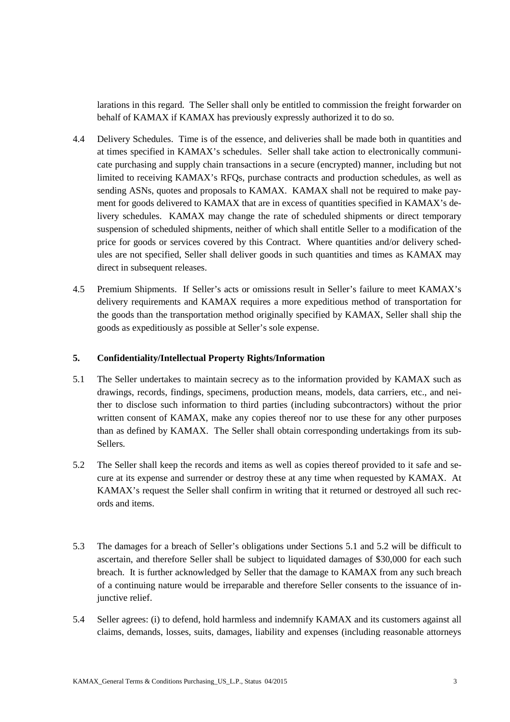larations in this regard. The Seller shall only be entitled to commission the freight forwarder on behalf of KAMAX if KAMAX has previously expressly authorized it to do so.

- 4.4 Delivery Schedules. Time is of the essence, and deliveries shall be made both in quantities and at times specified in KAMAX's schedules. Seller shall take action to electronically communicate purchasing and supply chain transactions in a secure (encrypted) manner, including but not limited to receiving KAMAX's RFQs, purchase contracts and production schedules, as well as sending ASNs, quotes and proposals to KAMAX. KAMAX shall not be required to make payment for goods delivered to KAMAX that are in excess of quantities specified in KAMAX's delivery schedules. KAMAX may change the rate of scheduled shipments or direct temporary suspension of scheduled shipments, neither of which shall entitle Seller to a modification of the price for goods or services covered by this Contract. Where quantities and/or delivery schedules are not specified, Seller shall deliver goods in such quantities and times as KAMAX may direct in subsequent releases.
- 4.5 Premium Shipments. If Seller's acts or omissions result in Seller's failure to meet KAMAX's delivery requirements and KAMAX requires a more expeditious method of transportation for the goods than the transportation method originally specified by KAMAX, Seller shall ship the goods as expeditiously as possible at Seller's sole expense.

# **5. Confidentiality/Intellectual Property Rights/Information**

- 5.1 The Seller undertakes to maintain secrecy as to the information provided by KAMAX such as drawings, records, findings, specimens, production means, models, data carriers, etc., and neither to disclose such information to third parties (including subcontractors) without the prior written consent of KAMAX, make any copies thereof nor to use these for any other purposes than as defined by KAMAX. The Seller shall obtain corresponding undertakings from its sub-Sellers.
- 5.2 The Seller shall keep the records and items as well as copies thereof provided to it safe and secure at its expense and surrender or destroy these at any time when requested by KAMAX. At KAMAX's request the Seller shall confirm in writing that it returned or destroyed all such records and items.
- 5.3 The damages for a breach of Seller's obligations under Sections 5.1 and 5.2 will be difficult to ascertain, and therefore Seller shall be subject to liquidated damages of \$30,000 for each such breach. It is further acknowledged by Seller that the damage to KAMAX from any such breach of a continuing nature would be irreparable and therefore Seller consents to the issuance of injunctive relief.
- 5.4 Seller agrees: (i) to defend, hold harmless and indemnify KAMAX and its customers against all claims, demands, losses, suits, damages, liability and expenses (including reasonable attorneys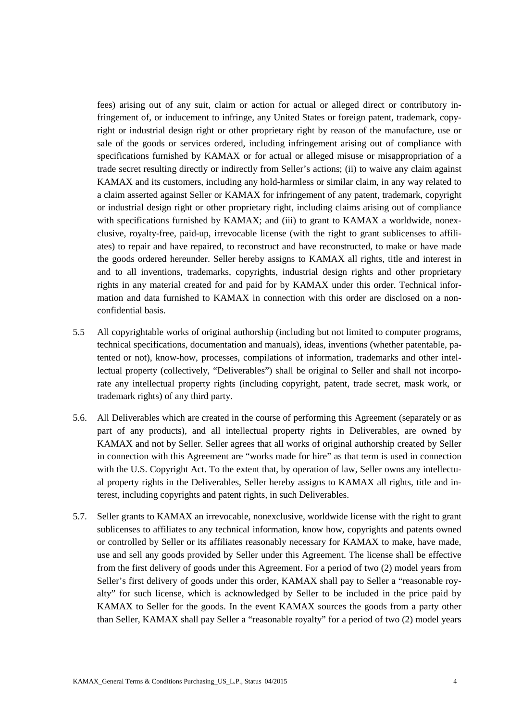fees) arising out of any suit, claim or action for actual or alleged direct or contributory infringement of, or inducement to infringe, any United States or foreign patent, trademark, copyright or industrial design right or other proprietary right by reason of the manufacture, use or sale of the goods or services ordered, including infringement arising out of compliance with specifications furnished by KAMAX or for actual or alleged misuse or misappropriation of a trade secret resulting directly or indirectly from Seller's actions; (ii) to waive any claim against KAMAX and its customers, including any hold-harmless or similar claim, in any way related to a claim asserted against Seller or KAMAX for infringement of any patent, trademark, copyright or industrial design right or other proprietary right, including claims arising out of compliance with specifications furnished by KAMAX; and (iii) to grant to KAMAX a worldwide, nonexclusive, royalty-free, paid-up, irrevocable license (with the right to grant sublicenses to affiliates) to repair and have repaired, to reconstruct and have reconstructed, to make or have made the goods ordered hereunder. Seller hereby assigns to KAMAX all rights, title and interest in and to all inventions, trademarks, copyrights, industrial design rights and other proprietary rights in any material created for and paid for by KAMAX under this order. Technical information and data furnished to KAMAX in connection with this order are disclosed on a nonconfidential basis.

- 5.5 All copyrightable works of original authorship (including but not limited to computer programs, technical specifications, documentation and manuals), ideas, inventions (whether patentable, patented or not), know-how, processes, compilations of information, trademarks and other intellectual property (collectively, "Deliverables") shall be original to Seller and shall not incorporate any intellectual property rights (including copyright, patent, trade secret, mask work, or trademark rights) of any third party.
- 5.6. All Deliverables which are created in the course of performing this Agreement (separately or as part of any products), and all intellectual property rights in Deliverables, are owned by KAMAX and not by Seller. Seller agrees that all works of original authorship created by Seller in connection with this Agreement are "works made for hire" as that term is used in connection with the U.S. Copyright Act. To the extent that, by operation of law, Seller owns any intellectual property rights in the Deliverables, Seller hereby assigns to KAMAX all rights, title and interest, including copyrights and patent rights, in such Deliverables.
- 5.7. Seller grants to KAMAX an irrevocable, nonexclusive, worldwide license with the right to grant sublicenses to affiliates to any technical information, know how, copyrights and patents owned or controlled by Seller or its affiliates reasonably necessary for KAMAX to make, have made, use and sell any goods provided by Seller under this Agreement. The license shall be effective from the first delivery of goods under this Agreement. For a period of two (2) model years from Seller's first delivery of goods under this order, KAMAX shall pay to Seller a "reasonable royalty" for such license, which is acknowledged by Seller to be included in the price paid by KAMAX to Seller for the goods. In the event KAMAX sources the goods from a party other than Seller, KAMAX shall pay Seller a "reasonable royalty" for a period of two (2) model years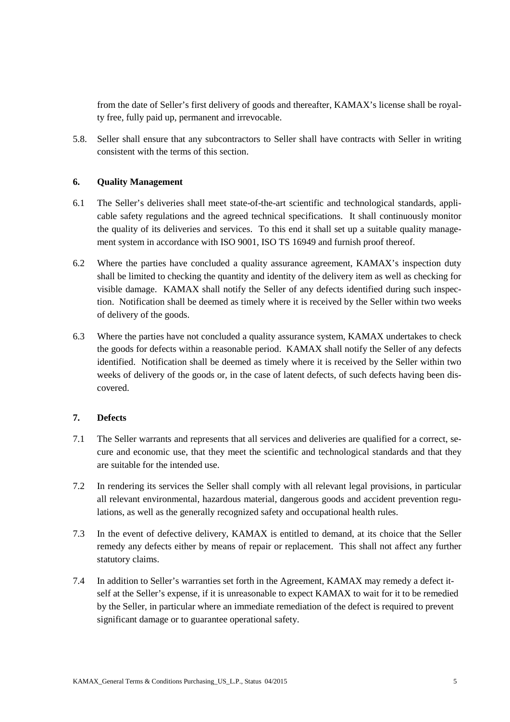from the date of Seller's first delivery of goods and thereafter, KAMAX's license shall be royalty free, fully paid up, permanent and irrevocable.

5.8. Seller shall ensure that any subcontractors to Seller shall have contracts with Seller in writing consistent with the terms of this section.

# **6. Quality Management**

- 6.1 The Seller's deliveries shall meet state-of-the-art scientific and technological standards, applicable safety regulations and the agreed technical specifications. It shall continuously monitor the quality of its deliveries and services. To this end it shall set up a suitable quality management system in accordance with ISO 9001, ISO TS 16949 and furnish proof thereof.
- 6.2 Where the parties have concluded a quality assurance agreement, KAMAX's inspection duty shall be limited to checking the quantity and identity of the delivery item as well as checking for visible damage. KAMAX shall notify the Seller of any defects identified during such inspection. Notification shall be deemed as timely where it is received by the Seller within two weeks of delivery of the goods.
- 6.3 Where the parties have not concluded a quality assurance system, KAMAX undertakes to check the goods for defects within a reasonable period. KAMAX shall notify the Seller of any defects identified. Notification shall be deemed as timely where it is received by the Seller within two weeks of delivery of the goods or, in the case of latent defects, of such defects having been discovered.

# **7. Defects**

- 7.1 The Seller warrants and represents that all services and deliveries are qualified for a correct, secure and economic use, that they meet the scientific and technological standards and that they are suitable for the intended use.
- 7.2 In rendering its services the Seller shall comply with all relevant legal provisions, in particular all relevant environmental, hazardous material, dangerous goods and accident prevention regulations, as well as the generally recognized safety and occupational health rules.
- 7.3 In the event of defective delivery, KAMAX is entitled to demand, at its choice that the Seller remedy any defects either by means of repair or replacement. This shall not affect any further statutory claims.
- 7.4 In addition to Seller's warranties set forth in the Agreement, KAMAX may remedy a defect itself at the Seller's expense, if it is unreasonable to expect KAMAX to wait for it to be remedied by the Seller, in particular where an immediate remediation of the defect is required to prevent significant damage or to guarantee operational safety.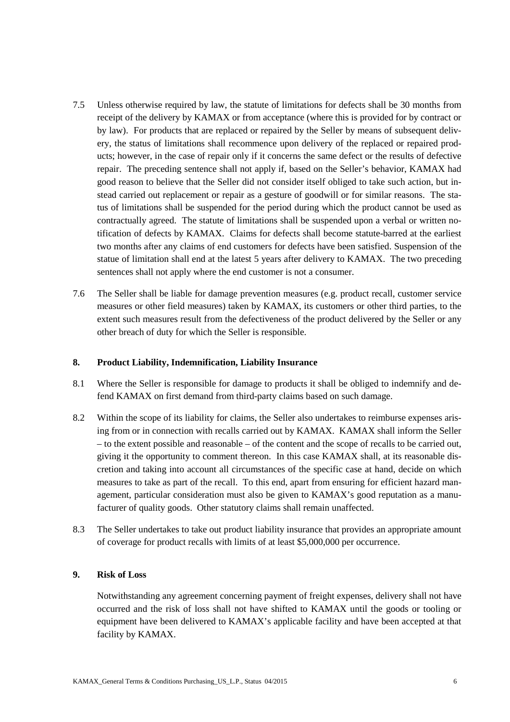- 7.5 Unless otherwise required by law, the statute of limitations for defects shall be 30 months from receipt of the delivery by KAMAX or from acceptance (where this is provided for by contract or by law). For products that are replaced or repaired by the Seller by means of subsequent delivery, the status of limitations shall recommence upon delivery of the replaced or repaired products; however, in the case of repair only if it concerns the same defect or the results of defective repair. The preceding sentence shall not apply if, based on the Seller's behavior, KAMAX had good reason to believe that the Seller did not consider itself obliged to take such action, but instead carried out replacement or repair as a gesture of goodwill or for similar reasons. The status of limitations shall be suspended for the period during which the product cannot be used as contractually agreed. The statute of limitations shall be suspended upon a verbal or written notification of defects by KAMAX. Claims for defects shall become statute-barred at the earliest two months after any claims of end customers for defects have been satisfied. Suspension of the statue of limitation shall end at the latest 5 years after delivery to KAMAX. The two preceding sentences shall not apply where the end customer is not a consumer.
- 7.6 The Seller shall be liable for damage prevention measures (e.g. product recall, customer service measures or other field measures) taken by KAMAX, its customers or other third parties, to the extent such measures result from the defectiveness of the product delivered by the Seller or any other breach of duty for which the Seller is responsible.

## **8. Product Liability, Indemnification, Liability Insurance**

- 8.1 Where the Seller is responsible for damage to products it shall be obliged to indemnify and defend KAMAX on first demand from third-party claims based on such damage.
- 8.2 Within the scope of its liability for claims, the Seller also undertakes to reimburse expenses arising from or in connection with recalls carried out by KAMAX. KAMAX shall inform the Seller – to the extent possible and reasonable – of the content and the scope of recalls to be carried out, giving it the opportunity to comment thereon. In this case KAMAX shall, at its reasonable discretion and taking into account all circumstances of the specific case at hand, decide on which measures to take as part of the recall. To this end, apart from ensuring for efficient hazard management, particular consideration must also be given to KAMAX's good reputation as a manufacturer of quality goods. Other statutory claims shall remain unaffected.
- 8.3 The Seller undertakes to take out product liability insurance that provides an appropriate amount of coverage for product recalls with limits of at least \$5,000,000 per occurrence.

# **9. Risk of Loss**

Notwithstanding any agreement concerning payment of freight expenses, delivery shall not have occurred and the risk of loss shall not have shifted to KAMAX until the goods or tooling or equipment have been delivered to KAMAX's applicable facility and have been accepted at that facility by KAMAX.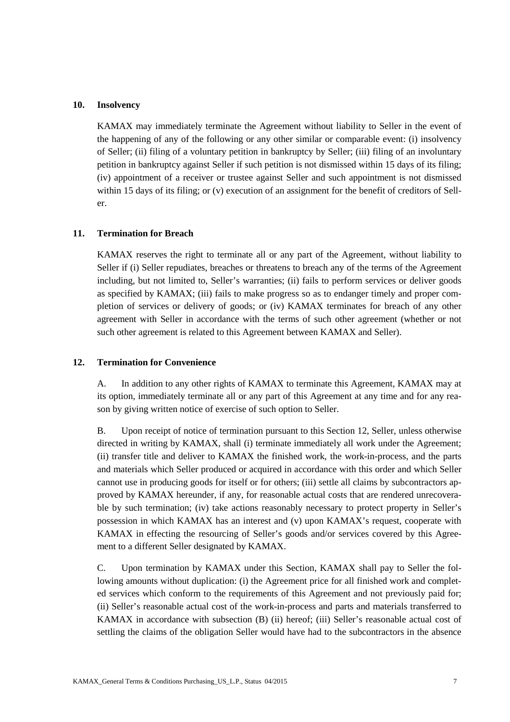## **10. Insolvency**

KAMAX may immediately terminate the Agreement without liability to Seller in the event of the happening of any of the following or any other similar or comparable event: (i) insolvency of Seller; (ii) filing of a voluntary petition in bankruptcy by Seller; (iii) filing of an involuntary petition in bankruptcy against Seller if such petition is not dismissed within 15 days of its filing; (iv) appointment of a receiver or trustee against Seller and such appointment is not dismissed within 15 days of its filing; or (v) execution of an assignment for the benefit of creditors of Seller.

#### **11. Termination for Breach**

KAMAX reserves the right to terminate all or any part of the Agreement, without liability to Seller if (i) Seller repudiates, breaches or threatens to breach any of the terms of the Agreement including, but not limited to, Seller's warranties; (ii) fails to perform services or deliver goods as specified by KAMAX; (iii) fails to make progress so as to endanger timely and proper completion of services or delivery of goods; or (iv) KAMAX terminates for breach of any other agreement with Seller in accordance with the terms of such other agreement (whether or not such other agreement is related to this Agreement between KAMAX and Seller).

#### **12. Termination for Convenience**

A. In addition to any other rights of KAMAX to terminate this Agreement, KAMAX may at its option, immediately terminate all or any part of this Agreement at any time and for any reason by giving written notice of exercise of such option to Seller.

B. Upon receipt of notice of termination pursuant to this Section 12, Seller, unless otherwise directed in writing by KAMAX, shall (i) terminate immediately all work under the Agreement; (ii) transfer title and deliver to KAMAX the finished work, the work-in-process, and the parts and materials which Seller produced or acquired in accordance with this order and which Seller cannot use in producing goods for itself or for others; (iii) settle all claims by subcontractors approved by KAMAX hereunder, if any, for reasonable actual costs that are rendered unrecoverable by such termination; (iv) take actions reasonably necessary to protect property in Seller's possession in which KAMAX has an interest and (v) upon KAMAX's request, cooperate with KAMAX in effecting the resourcing of Seller's goods and/or services covered by this Agreement to a different Seller designated by KAMAX.

C. Upon termination by KAMAX under this Section, KAMAX shall pay to Seller the following amounts without duplication: (i) the Agreement price for all finished work and completed services which conform to the requirements of this Agreement and not previously paid for; (ii) Seller's reasonable actual cost of the work-in-process and parts and materials transferred to KAMAX in accordance with subsection (B) (ii) hereof; (iii) Seller's reasonable actual cost of settling the claims of the obligation Seller would have had to the subcontractors in the absence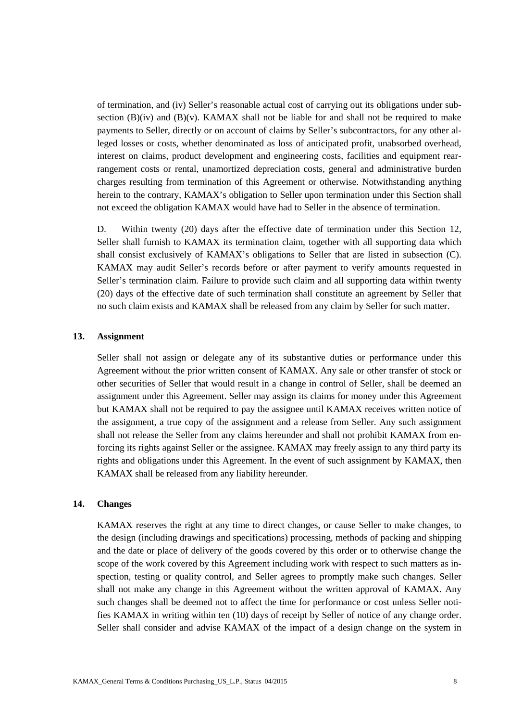of termination, and (iv) Seller's reasonable actual cost of carrying out its obligations under subsection  $(B)(iv)$  and  $(B)(v)$ . KAMAX shall not be liable for and shall not be required to make payments to Seller, directly or on account of claims by Seller's subcontractors, for any other alleged losses or costs, whether denominated as loss of anticipated profit, unabsorbed overhead, interest on claims, product development and engineering costs, facilities and equipment rearrangement costs or rental, unamortized depreciation costs, general and administrative burden charges resulting from termination of this Agreement or otherwise. Notwithstanding anything herein to the contrary, KAMAX's obligation to Seller upon termination under this Section shall not exceed the obligation KAMAX would have had to Seller in the absence of termination.

D. Within twenty (20) days after the effective date of termination under this Section 12, Seller shall furnish to KAMAX its termination claim, together with all supporting data which shall consist exclusively of KAMAX's obligations to Seller that are listed in subsection (C). KAMAX may audit Seller's records before or after payment to verify amounts requested in Seller's termination claim. Failure to provide such claim and all supporting data within twenty (20) days of the effective date of such termination shall constitute an agreement by Seller that no such claim exists and KAMAX shall be released from any claim by Seller for such matter.

#### **13. Assignment**

Seller shall not assign or delegate any of its substantive duties or performance under this Agreement without the prior written consent of KAMAX. Any sale or other transfer of stock or other securities of Seller that would result in a change in control of Seller, shall be deemed an assignment under this Agreement. Seller may assign its claims for money under this Agreement but KAMAX shall not be required to pay the assignee until KAMAX receives written notice of the assignment, a true copy of the assignment and a release from Seller. Any such assignment shall not release the Seller from any claims hereunder and shall not prohibit KAMAX from enforcing its rights against Seller or the assignee. KAMAX may freely assign to any third party its rights and obligations under this Agreement. In the event of such assignment by KAMAX, then KAMAX shall be released from any liability hereunder.

#### **14. Changes**

KAMAX reserves the right at any time to direct changes, or cause Seller to make changes, to the design (including drawings and specifications) processing, methods of packing and shipping and the date or place of delivery of the goods covered by this order or to otherwise change the scope of the work covered by this Agreement including work with respect to such matters as inspection, testing or quality control, and Seller agrees to promptly make such changes. Seller shall not make any change in this Agreement without the written approval of KAMAX. Any such changes shall be deemed not to affect the time for performance or cost unless Seller notifies KAMAX in writing within ten (10) days of receipt by Seller of notice of any change order. Seller shall consider and advise KAMAX of the impact of a design change on the system in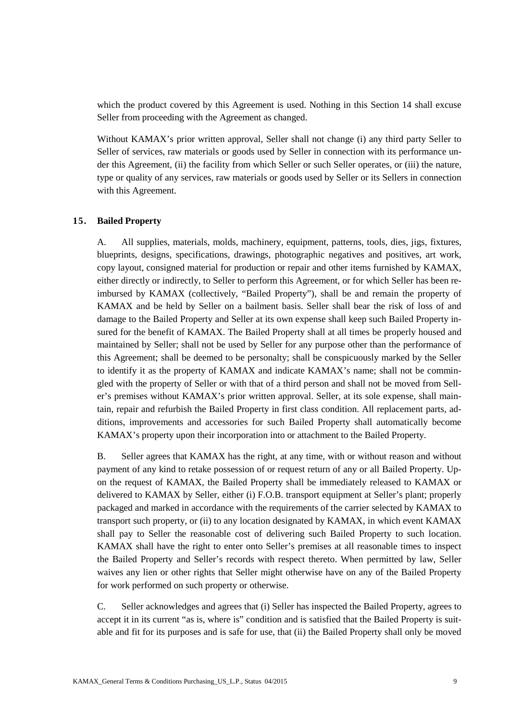which the product covered by this Agreement is used. Nothing in this Section 14 shall excuse Seller from proceeding with the Agreement as changed.

Without KAMAX's prior written approval, Seller shall not change (i) any third party Seller to Seller of services, raw materials or goods used by Seller in connection with its performance under this Agreement, (ii) the facility from which Seller or such Seller operates, or (iii) the nature, type or quality of any services, raw materials or goods used by Seller or its Sellers in connection with this Agreement.

#### **15. Bailed Property**

A. All supplies, materials, molds, machinery, equipment, patterns, tools, dies, jigs, fixtures, blueprints, designs, specifications, drawings, photographic negatives and positives, art work, copy layout, consigned material for production or repair and other items furnished by KAMAX, either directly or indirectly, to Seller to perform this Agreement, or for which Seller has been reimbursed by KAMAX (collectively, "Bailed Property"), shall be and remain the property of KAMAX and be held by Seller on a bailment basis. Seller shall bear the risk of loss of and damage to the Bailed Property and Seller at its own expense shall keep such Bailed Property insured for the benefit of KAMAX. The Bailed Property shall at all times be properly housed and maintained by Seller; shall not be used by Seller for any purpose other than the performance of this Agreement; shall be deemed to be personalty; shall be conspicuously marked by the Seller to identify it as the property of KAMAX and indicate KAMAX's name; shall not be commingled with the property of Seller or with that of a third person and shall not be moved from Seller's premises without KAMAX's prior written approval. Seller, at its sole expense, shall maintain, repair and refurbish the Bailed Property in first class condition. All replacement parts, additions, improvements and accessories for such Bailed Property shall automatically become KAMAX's property upon their incorporation into or attachment to the Bailed Property.

B. Seller agrees that KAMAX has the right, at any time, with or without reason and without payment of any kind to retake possession of or request return of any or all Bailed Property. Upon the request of KAMAX, the Bailed Property shall be immediately released to KAMAX or delivered to KAMAX by Seller, either (i) F.O.B. transport equipment at Seller's plant; properly packaged and marked in accordance with the requirements of the carrier selected by KAMAX to transport such property, or (ii) to any location designated by KAMAX, in which event KAMAX shall pay to Seller the reasonable cost of delivering such Bailed Property to such location. KAMAX shall have the right to enter onto Seller's premises at all reasonable times to inspect the Bailed Property and Seller's records with respect thereto. When permitted by law, Seller waives any lien or other rights that Seller might otherwise have on any of the Bailed Property for work performed on such property or otherwise.

C. Seller acknowledges and agrees that (i) Seller has inspected the Bailed Property, agrees to accept it in its current "as is, where is" condition and is satisfied that the Bailed Property is suitable and fit for its purposes and is safe for use, that (ii) the Bailed Property shall only be moved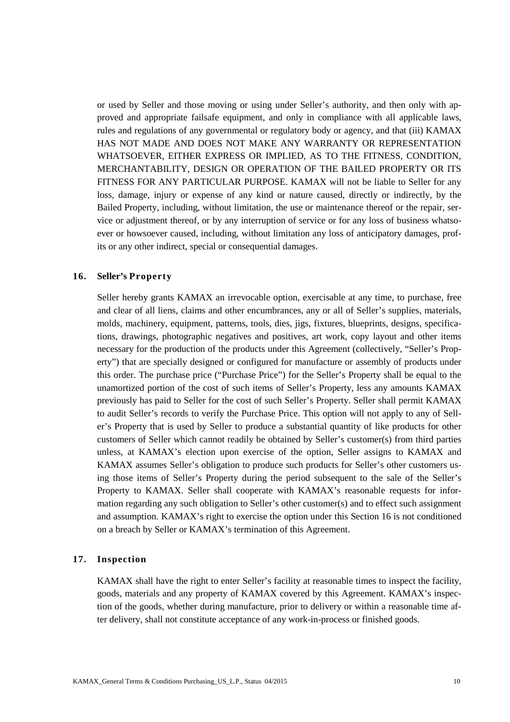or used by Seller and those moving or using under Seller's authority, and then only with approved and appropriate failsafe equipment, and only in compliance with all applicable laws, rules and regulations of any governmental or regulatory body or agency, and that (iii) KAMAX HAS NOT MADE AND DOES NOT MAKE ANY WARRANTY OR REPRESENTATION WHATSOEVER, EITHER EXPRESS OR IMPLIED, AS TO THE FITNESS, CONDITION, MERCHANTABILITY, DESIGN OR OPERATION OF THE BAILED PROPERTY OR ITS FITNESS FOR ANY PARTICULAR PURPOSE. KAMAX will not be liable to Seller for any loss, damage, injury or expense of any kind or nature caused, directly or indirectly, by the Bailed Property, including, without limitation, the use or maintenance thereof or the repair, service or adjustment thereof, or by any interruption of service or for any loss of business whatsoever or howsoever caused, including, without limitation any loss of anticipatory damages, profits or any other indirect, special or consequential damages.

#### **16. Seller's Property**

Seller hereby grants KAMAX an irrevocable option, exercisable at any time, to purchase, free and clear of all liens, claims and other encumbrances, any or all of Seller's supplies, materials, molds, machinery, equipment, patterns, tools, dies, jigs, fixtures, blueprints, designs, specifications, drawings, photographic negatives and positives, art work, copy layout and other items necessary for the production of the products under this Agreement (collectively, "Seller's Property") that are specially designed or configured for manufacture or assembly of products under this order. The purchase price ("Purchase Price") for the Seller's Property shall be equal to the unamortized portion of the cost of such items of Seller's Property, less any amounts KAMAX previously has paid to Seller for the cost of such Seller's Property. Seller shall permit KAMAX to audit Seller's records to verify the Purchase Price. This option will not apply to any of Seller's Property that is used by Seller to produce a substantial quantity of like products for other customers of Seller which cannot readily be obtained by Seller's customer(s) from third parties unless, at KAMAX's election upon exercise of the option, Seller assigns to KAMAX and KAMAX assumes Seller's obligation to produce such products for Seller's other customers using those items of Seller's Property during the period subsequent to the sale of the Seller's Property to KAMAX. Seller shall cooperate with KAMAX's reasonable requests for information regarding any such obligation to Seller's other customer(s) and to effect such assignment and assumption. KAMAX's right to exercise the option under this Section 16 is not conditioned on a breach by Seller or KAMAX's termination of this Agreement.

## **17. Inspection**

KAMAX shall have the right to enter Seller's facility at reasonable times to inspect the facility, goods, materials and any property of KAMAX covered by this Agreement. KAMAX's inspection of the goods, whether during manufacture, prior to delivery or within a reasonable time after delivery, shall not constitute acceptance of any work-in-process or finished goods.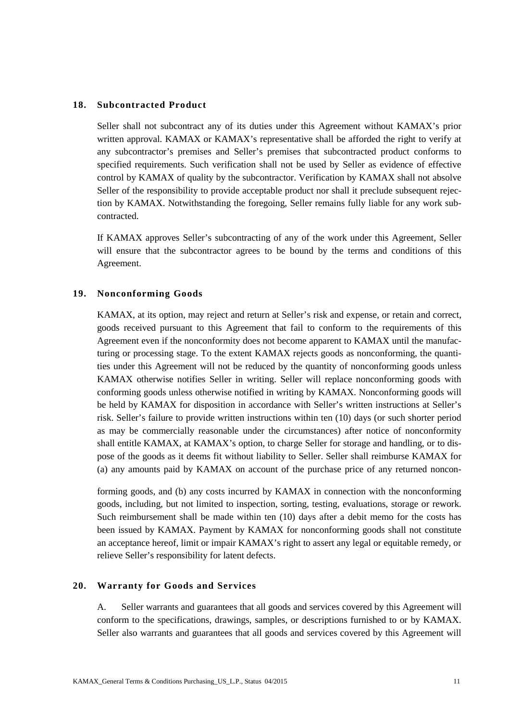#### **18. Subcontracted Product**

Seller shall not subcontract any of its duties under this Agreement without KAMAX's prior written approval. KAMAX or KAMAX's representative shall be afforded the right to verify at any subcontractor's premises and Seller's premises that subcontracted product conforms to specified requirements. Such verification shall not be used by Seller as evidence of effective control by KAMAX of quality by the subcontractor. Verification by KAMAX shall not absolve Seller of the responsibility to provide acceptable product nor shall it preclude subsequent rejection by KAMAX. Notwithstanding the foregoing, Seller remains fully liable for any work subcontracted.

If KAMAX approves Seller's subcontracting of any of the work under this Agreement, Seller will ensure that the subcontractor agrees to be bound by the terms and conditions of this Agreement.

## **19. Nonconforming Goods**

KAMAX, at its option, may reject and return at Seller's risk and expense, or retain and correct, goods received pursuant to this Agreement that fail to conform to the requirements of this Agreement even if the nonconformity does not become apparent to KAMAX until the manufacturing or processing stage. To the extent KAMAX rejects goods as nonconforming, the quantities under this Agreement will not be reduced by the quantity of nonconforming goods unless KAMAX otherwise notifies Seller in writing. Seller will replace nonconforming goods with conforming goods unless otherwise notified in writing by KAMAX. Nonconforming goods will be held by KAMAX for disposition in accordance with Seller's written instructions at Seller's risk. Seller's failure to provide written instructions within ten (10) days (or such shorter period as may be commercially reasonable under the circumstances) after notice of nonconformity shall entitle KAMAX, at KAMAX's option, to charge Seller for storage and handling, or to dispose of the goods as it deems fit without liability to Seller. Seller shall reimburse KAMAX for (a) any amounts paid by KAMAX on account of the purchase price of any returned noncon-

forming goods, and (b) any costs incurred by KAMAX in connection with the nonconforming goods, including, but not limited to inspection, sorting, testing, evaluations, storage or rework. Such reimbursement shall be made within ten (10) days after a debit memo for the costs has been issued by KAMAX. Payment by KAMAX for nonconforming goods shall not constitute an acceptance hereof, limit or impair KAMAX's right to assert any legal or equitable remedy, or relieve Seller's responsibility for latent defects.

# **20. Warranty for Goods and Services**

A. Seller warrants and guarantees that all goods and services covered by this Agreement will conform to the specifications, drawings, samples, or descriptions furnished to or by KAMAX. Seller also warrants and guarantees that all goods and services covered by this Agreement will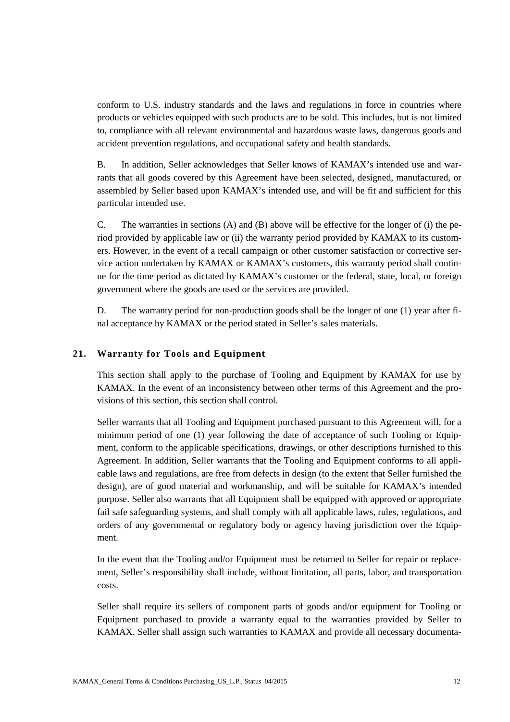conform to U.S. industry standards and the laws and regulations in force in countries where products or vehicles equipped with such products are to be sold. This includes, but is not limited to, compliance with all relevant environmental and hazardous waste laws, dangerous goods and accident prevention regulations, and occupational safety and health standards.

B. In addition, Seller acknowledges that Seller knows of KAMAX's intended use and warrants that all goods covered by this Agreement have been selected, designed, manufactured, or assembled by Seller based upon KAMAX's intended use, and will be fit and sufficient for this particular intended use.

C. The warranties in sections (A) and (B) above will be effective for the longer of (i) the period provided by applicable law or (ii) the warranty period provided by KAMAX to its customers. However, in the event of a recall campaign or other customer satisfaction or corrective service action undertaken by KAMAX or KAMAX's customers, this warranty period shall continue for the time period as dictated by KAMAX's customer or the federal, state, local, or foreign government where the goods are used or the services are provided.

D. The warranty period for non-production goods shall be the longer of one (1) year after final acceptance by KAMAX or the period stated in Seller's sales materials.

## **21. Warranty for Tools and Equipment**

This section shall apply to the purchase of Tooling and Equipment by KAMAX for use by KAMAX. In the event of an inconsistency between other terms of this Agreement and the provisions of this section, this section shall control.

Seller warrants that all Tooling and Equipment purchased pursuant to this Agreement will, for a minimum period of one (1) year following the date of acceptance of such Tooling or Equipment, conform to the applicable specifications, drawings, or other descriptions furnished to this Agreement. In addition, Seller warrants that the Tooling and Equipment conforms to all applicable laws and regulations, are free from defects in design (to the extent that Seller furnished the design), are of good material and workmanship, and will be suitable for KAMAX's intended purpose. Seller also warrants that all Equipment shall be equipped with approved or appropriate fail safe safeguarding systems, and shall comply with all applicable laws, rules, regulations, and orders of any governmental or regulatory body or agency having jurisdiction over the Equipment.

In the event that the Tooling and/or Equipment must be returned to Seller for repair or replacement, Seller's responsibility shall include, without limitation, all parts, labor, and transportation costs.

Seller shall require its sellers of component parts of goods and/or equipment for Tooling or Equipment purchased to provide a warranty equal to the warranties provided by Seller to KAMAX. Seller shall assign such warranties to KAMAX and provide all necessary documenta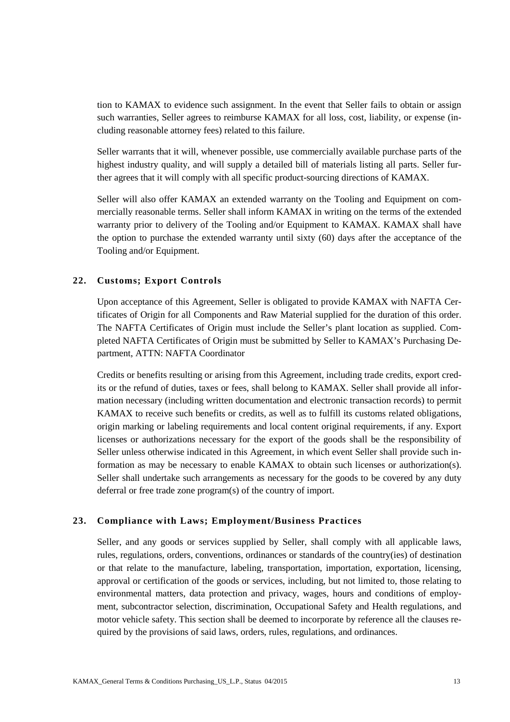tion to KAMAX to evidence such assignment. In the event that Seller fails to obtain or assign such warranties, Seller agrees to reimburse KAMAX for all loss, cost, liability, or expense (including reasonable attorney fees) related to this failure.

Seller warrants that it will, whenever possible, use commercially available purchase parts of the highest industry quality, and will supply a detailed bill of materials listing all parts. Seller further agrees that it will comply with all specific product-sourcing directions of KAMAX.

Seller will also offer KAMAX an extended warranty on the Tooling and Equipment on commercially reasonable terms. Seller shall inform KAMAX in writing on the terms of the extended warranty prior to delivery of the Tooling and/or Equipment to KAMAX. KAMAX shall have the option to purchase the extended warranty until sixty (60) days after the acceptance of the Tooling and/or Equipment.

# **22. Customs; Export Controls**

Upon acceptance of this Agreement, Seller is obligated to provide KAMAX with NAFTA Certificates of Origin for all Components and Raw Material supplied for the duration of this order. The NAFTA Certificates of Origin must include the Seller's plant location as supplied. Completed NAFTA Certificates of Origin must be submitted by Seller to KAMAX's Purchasing Department, ATTN: NAFTA Coordinator

Credits or benefits resulting or arising from this Agreement, including trade credits, export credits or the refund of duties, taxes or fees, shall belong to KAMAX. Seller shall provide all information necessary (including written documentation and electronic transaction records) to permit KAMAX to receive such benefits or credits, as well as to fulfill its customs related obligations, origin marking or labeling requirements and local content original requirements, if any. Export licenses or authorizations necessary for the export of the goods shall be the responsibility of Seller unless otherwise indicated in this Agreement, in which event Seller shall provide such information as may be necessary to enable KAMAX to obtain such licenses or authorization(s). Seller shall undertake such arrangements as necessary for the goods to be covered by any duty deferral or free trade zone program(s) of the country of import.

# **23. Compliance with Laws; Employment/Business Practices**

Seller, and any goods or services supplied by Seller, shall comply with all applicable laws, rules, regulations, orders, conventions, ordinances or standards of the country(ies) of destination or that relate to the manufacture, labeling, transportation, importation, exportation, licensing, approval or certification of the goods or services, including, but not limited to, those relating to environmental matters, data protection and privacy, wages, hours and conditions of employment, subcontractor selection, discrimination, Occupational Safety and Health regulations, and motor vehicle safety. This section shall be deemed to incorporate by reference all the clauses required by the provisions of said laws, orders, rules, regulations, and ordinances.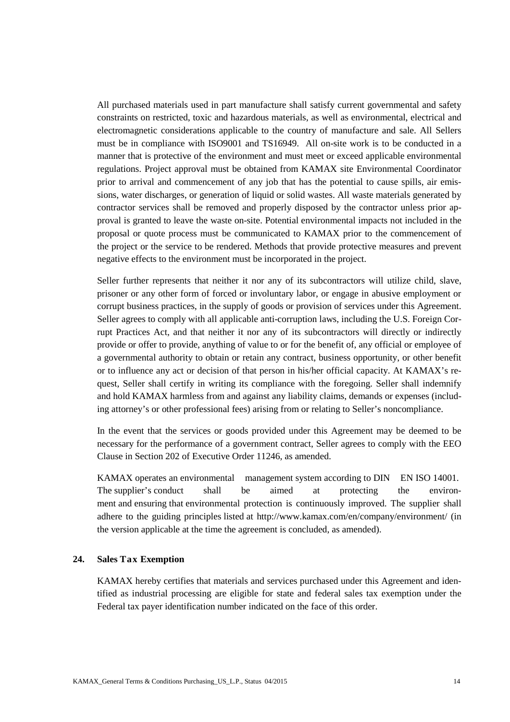All purchased materials used in part manufacture shall satisfy current governmental and safety constraints on restricted, toxic and hazardous materials, as well as environmental, electrical and electromagnetic considerations applicable to the country of manufacture and sale. All Sellers must be in compliance with ISO9001 and TS16949. All on-site work is to be conducted in a manner that is protective of the environment and must meet or exceed applicable environmental regulations. Project approval must be obtained from KAMAX site Environmental Coordinator prior to arrival and commencement of any job that has the potential to cause spills, air emissions, water discharges, or generation of liquid or solid wastes. All waste materials generated by contractor services shall be removed and properly disposed by the contractor unless prior approval is granted to leave the waste on-site. Potential environmental impacts not included in the proposal or quote process must be communicated to KAMAX prior to the commencement of the project or the service to be rendered. Methods that provide protective measures and prevent negative effects to the environment must be incorporated in the project.

Seller further represents that neither it nor any of its subcontractors will utilize child, slave, prisoner or any other form of forced or involuntary labor, or engage in abusive employment or corrupt business practices, in the supply of goods or provision of services under this Agreement. Seller agrees to comply with all applicable anti-corruption laws, including the U.S. Foreign Corrupt Practices Act, and that neither it nor any of its subcontractors will directly or indirectly provide or offer to provide, anything of value to or for the benefit of, any official or employee of a governmental authority to obtain or retain any contract, business opportunity, or other benefit or to influence any act or decision of that person in his/her official capacity. At KAMAX's request. Seller shall certify in writing its compliance with the foregoing. Seller shall indemnify and hold KAMAX harmless from and against any liability claims, demands or expenses (including attorney's or other professional fees) arising from or relating to Seller's noncompliance.

In the event that the services or goods provided under this Agreement may be deemed to be necessary for the performance of a government contract, Seller agrees to comply with the EEO Clause in Section 202 of Executive Order 11246, as amended.

KAMAX operates an environmental management system according to DIN EN ISO 14001. The supplier's conduct shall be aimed at protecting the environment and ensuring that environmental protection is continuously improved. The supplier shall adhere to the guiding principles listed at <http://www.kamax.com/en/company/environment/> (in the version applicable at the time the agreement is concluded, as amended).

# **24. Sales Tax Exemption**

KAMAX hereby certifies that materials and services purchased under this Agreement and identified as industrial processing are eligible for state and federal sales tax exemption under the Federal tax payer identification number indicated on the face of this order.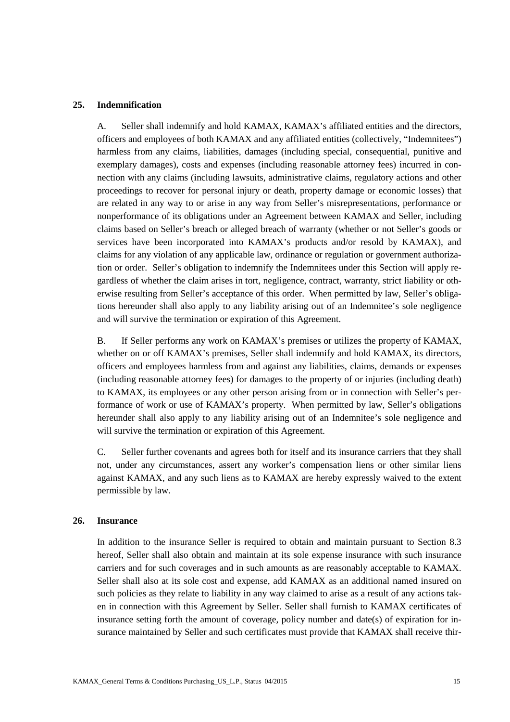#### **25. Indemnification**

A. Seller shall indemnify and hold KAMAX, KAMAX's affiliated entities and the directors, officers and employees of both KAMAX and any affiliated entities (collectively, "Indemnitees") harmless from any claims, liabilities, damages (including special, consequential, punitive and exemplary damages), costs and expenses (including reasonable attorney fees) incurred in connection with any claims (including lawsuits, administrative claims, regulatory actions and other proceedings to recover for personal injury or death, property damage or economic losses) that are related in any way to or arise in any way from Seller's misrepresentations, performance or nonperformance of its obligations under an Agreement between KAMAX and Seller, including claims based on Seller's breach or alleged breach of warranty (whether or not Seller's goods or services have been incorporated into KAMAX's products and/or resold by KAMAX), and claims for any violation of any applicable law, ordinance or regulation or government authorization or order. Seller's obligation to indemnify the Indemnitees under this Section will apply regardless of whether the claim arises in tort, negligence, contract, warranty, strict liability or otherwise resulting from Seller's acceptance of this order. When permitted by law, Seller's obligations hereunder shall also apply to any liability arising out of an Indemnitee's sole negligence and will survive the termination or expiration of this Agreement.

B. If Seller performs any work on KAMAX's premises or utilizes the property of KAMAX, whether on or off KAMAX's premises, Seller shall indemnify and hold KAMAX, its directors, officers and employees harmless from and against any liabilities, claims, demands or expenses (including reasonable attorney fees) for damages to the property of or injuries (including death) to KAMAX, its employees or any other person arising from or in connection with Seller's performance of work or use of KAMAX's property. When permitted by law, Seller's obligations hereunder shall also apply to any liability arising out of an Indemnitee's sole negligence and will survive the termination or expiration of this Agreement.

C. Seller further covenants and agrees both for itself and its insurance carriers that they shall not, under any circumstances, assert any worker's compensation liens or other similar liens against KAMAX, and any such liens as to KAMAX are hereby expressly waived to the extent permissible by law.

#### **26. Insurance**

In addition to the insurance Seller is required to obtain and maintain pursuant to Section 8.3 hereof, Seller shall also obtain and maintain at its sole expense insurance with such insurance carriers and for such coverages and in such amounts as are reasonably acceptable to KAMAX. Seller shall also at its sole cost and expense, add KAMAX as an additional named insured on such policies as they relate to liability in any way claimed to arise as a result of any actions taken in connection with this Agreement by Seller. Seller shall furnish to KAMAX certificates of insurance setting forth the amount of coverage, policy number and date(s) of expiration for insurance maintained by Seller and such certificates must provide that KAMAX shall receive thir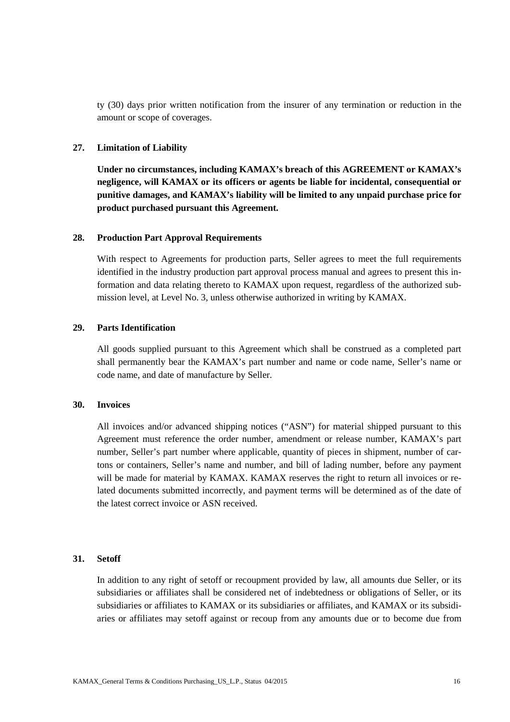ty (30) days prior written notification from the insurer of any termination or reduction in the amount or scope of coverages.

#### **27. Limitation of Liability**

**Under no circumstances, including KAMAX's breach of this AGREEMENT or KAMAX's negligence, will KAMAX or its officers or agents be liable for incidental, consequential or punitive damages, and KAMAX's liability will be limited to any unpaid purchase price for product purchased pursuant this Agreement.**

#### **28. Production Part Approval Requirements**

With respect to Agreements for production parts, Seller agrees to meet the full requirements identified in the industry production part approval process manual and agrees to present this information and data relating thereto to KAMAX upon request, regardless of the authorized submission level, at Level No. 3, unless otherwise authorized in writing by KAMAX.

#### **29. Parts Identification**

All goods supplied pursuant to this Agreement which shall be construed as a completed part shall permanently bear the KAMAX's part number and name or code name, Seller's name or code name, and date of manufacture by Seller.

#### **30. Invoices**

All invoices and/or advanced shipping notices ("ASN") for material shipped pursuant to this Agreement must reference the order number, amendment or release number, KAMAX's part number, Seller's part number where applicable, quantity of pieces in shipment, number of cartons or containers, Seller's name and number, and bill of lading number, before any payment will be made for material by KAMAX. KAMAX reserves the right to return all invoices or related documents submitted incorrectly, and payment terms will be determined as of the date of the latest correct invoice or ASN received.

## **31. Setoff**

In addition to any right of setoff or recoupment provided by law, all amounts due Seller, or its subsidiaries or affiliates shall be considered net of indebtedness or obligations of Seller, or its subsidiaries or affiliates to KAMAX or its subsidiaries or affiliates, and KAMAX or its subsidiaries or affiliates may setoff against or recoup from any amounts due or to become due from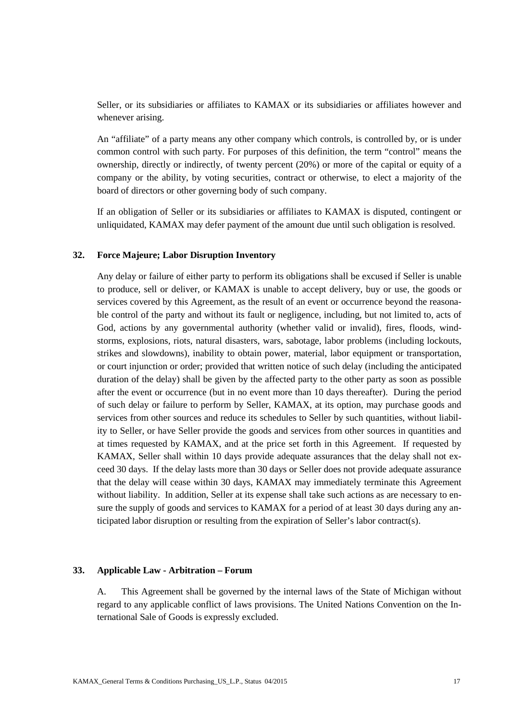Seller, or its subsidiaries or affiliates to KAMAX or its subsidiaries or affiliates however and whenever arising.

An "affiliate" of a party means any other company which controls, is controlled by, or is under common control with such party. For purposes of this definition, the term "control" means the ownership, directly or indirectly, of twenty percent (20%) or more of the capital or equity of a company or the ability, by voting securities, contract or otherwise, to elect a majority of the board of directors or other governing body of such company.

If an obligation of Seller or its subsidiaries or affiliates to KAMAX is disputed, contingent or unliquidated, KAMAX may defer payment of the amount due until such obligation is resolved.

#### **32. Force Majeure; Labor Disruption Inventory**

Any delay or failure of either party to perform its obligations shall be excused if Seller is unable to produce, sell or deliver, or KAMAX is unable to accept delivery, buy or use, the goods or services covered by this Agreement, as the result of an event or occurrence beyond the reasonable control of the party and without its fault or negligence, including, but not limited to, acts of God, actions by any governmental authority (whether valid or invalid), fires, floods, windstorms, explosions, riots, natural disasters, wars, sabotage, labor problems (including lockouts, strikes and slowdowns), inability to obtain power, material, labor equipment or transportation, or court injunction or order; provided that written notice of such delay (including the anticipated duration of the delay) shall be given by the affected party to the other party as soon as possible after the event or occurrence (but in no event more than 10 days thereafter). During the period of such delay or failure to perform by Seller, KAMAX, at its option, may purchase goods and services from other sources and reduce its schedules to Seller by such quantities, without liability to Seller, or have Seller provide the goods and services from other sources in quantities and at times requested by KAMAX, and at the price set forth in this Agreement. If requested by KAMAX, Seller shall within 10 days provide adequate assurances that the delay shall not exceed 30 days. If the delay lasts more than 30 days or Seller does not provide adequate assurance that the delay will cease within 30 days, KAMAX may immediately terminate this Agreement without liability. In addition, Seller at its expense shall take such actions as are necessary to ensure the supply of goods and services to KAMAX for a period of at least 30 days during any anticipated labor disruption or resulting from the expiration of Seller's labor contract(s).

#### **33. Applicable Law - Arbitration – Forum**

A. This Agreement shall be governed by the internal laws of the State of Michigan without regard to any applicable conflict of laws provisions. The United Nations Convention on the International Sale of Goods is expressly excluded.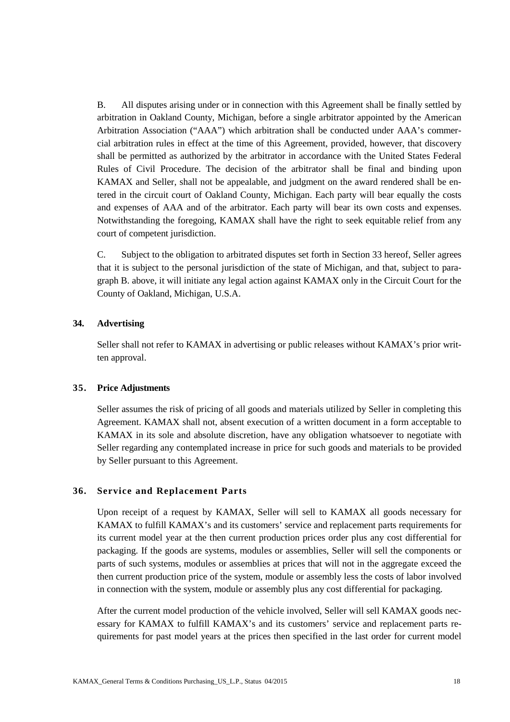B. All disputes arising under or in connection with this Agreement shall be finally settled by arbitration in Oakland County, Michigan, before a single arbitrator appointed by the American Arbitration Association ("AAA") which arbitration shall be conducted under AAA's commercial arbitration rules in effect at the time of this Agreement, provided, however, that discovery shall be permitted as authorized by the arbitrator in accordance with the United States Federal Rules of Civil Procedure. The decision of the arbitrator shall be final and binding upon KAMAX and Seller, shall not be appealable, and judgment on the award rendered shall be entered in the circuit court of Oakland County, Michigan. Each party will bear equally the costs and expenses of AAA and of the arbitrator. Each party will bear its own costs and expenses. Notwithstanding the foregoing, KAMAX shall have the right to seek equitable relief from any court of competent jurisdiction.

C. Subject to the obligation to arbitrated disputes set forth in Section 33 hereof, Seller agrees that it is subject to the personal jurisdiction of the state of Michigan, and that, subject to paragraph B. above, it will initiate any legal action against KAMAX only in the Circuit Court for the County of Oakland, Michigan, U.S.A.

# **34. Advertising**

Seller shall not refer to KAMAX in advertising or public releases without KAMAX's prior written approval.

## **35. Price Adjustments**

Seller assumes the risk of pricing of all goods and materials utilized by Seller in completing this Agreement. KAMAX shall not, absent execution of a written document in a form acceptable to KAMAX in its sole and absolute discretion, have any obligation whatsoever to negotiate with Seller regarding any contemplated increase in price for such goods and materials to be provided by Seller pursuant to this Agreement.

## **36. Service and Replacement Parts**

Upon receipt of a request by KAMAX, Seller will sell to KAMAX all goods necessary for KAMAX to fulfill KAMAX's and its customers' service and replacement parts requirements for its current model year at the then current production prices order plus any cost differential for packaging. If the goods are systems, modules or assemblies, Seller will sell the components or parts of such systems, modules or assemblies at prices that will not in the aggregate exceed the then current production price of the system, module or assembly less the costs of labor involved in connection with the system, module or assembly plus any cost differential for packaging.

After the current model production of the vehicle involved, Seller will sell KAMAX goods necessary for KAMAX to fulfill KAMAX's and its customers' service and replacement parts requirements for past model years at the prices then specified in the last order for current model